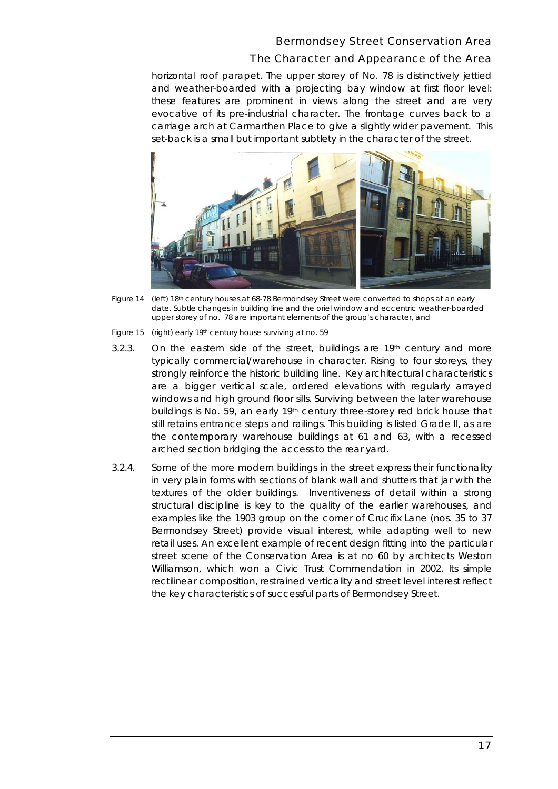## Bermondsey Street Conservation Area

## The Character and Appearance of the Area

 these features are prominent in views along the street and are very evocative of its pre-industrial character. The frontage curves back to a set-back is a small but important subtlety in the character of the street. horizontal roof parapet. The upper storey of No. 78 is distinctively jettied and weather-boarded with a projecting bay window at first floor level: carriage arch at Carmarthen Place to give a slightly wider pavement. This



*Figure 14 (left) 18th century houses at 68-78 Bermondsey Street were converted to shops at an early date. Subtle changes in building line and the oriel window and eccentric weather-boarded upper storey of no. 78 are important elements of the group's character, and* 

 *Figure 15 (right) early 19th century house surviving at no. 59* 

- 3.2.3. On the eastern side of the street, buildings are  $19<sup>th</sup>$  century and more arched section bridging the access to the rear yard. typically commercial/warehouse in character. Rising to four storeys, they strongly reinforce the historic building line. Key architectural characteristics are a bigger vertical scale, ordered elevations with regularly arrayed windows and high ground floor sills. Surviving between the later warehouse buildings is No. 59, an early 19th century three-storey red brick house that still retains entrance steps and railings. This building is listed Grade II, as are the contemporary warehouse buildings at 61 and 63, with a recessed
- examples like the 1903 group on the corner of Crucifix Lane (nos. 35 to 37 Bermondsey Street) provide visual interest, while adapting well to new street scene of the Conservation Area is at no 60 by architects Weston the key characteristics of successful parts of Bermondsey Street. 3.2.4. Some of the more modern buildings in the street express their functionality in very plain forms with sections of blank wall and shutters that jar with the textures of the older buildings. Inventiveness of detail within a strong structural discipline is key to the quality of the earlier warehouses, and retail uses. An excellent example of recent design fitting into the particular Williamson, which won a Civic Trust Commendation in 2002. Its simple rectilinear composition, restrained verticality and street level interest reflect